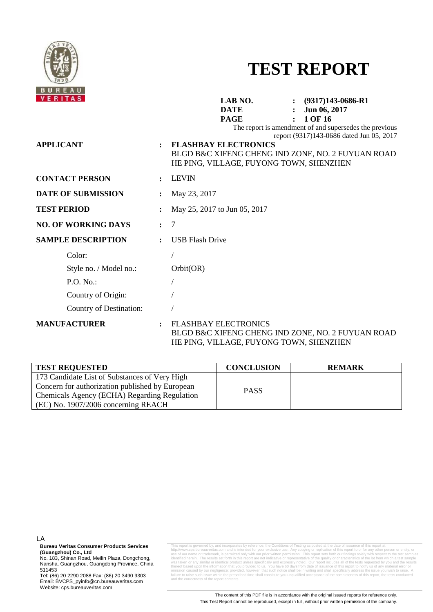

# **TEST REPORT**

| VERITAS                    |                | LAB NO.<br>$(9317)143-0686-R1$<br><b>DATE</b><br>Jun 06, 2017<br>1 OF 16<br><b>PAGE</b>                                                                                                                                           |
|----------------------------|----------------|-----------------------------------------------------------------------------------------------------------------------------------------------------------------------------------------------------------------------------------|
| <b>APPLICANT</b>           |                | The report is amendment of and supersedes the previous<br>report (9317)143-0686 dated Jun 05, 2017<br><b>FLASHBAY ELECTRONICS</b><br>BLGD B&C XIFENG CHENG IND ZONE, NO. 2 FUYUAN ROAD<br>HE PING, VILLAGE, FUYONG TOWN, SHENZHEN |
| <b>CONTACT PERSON</b>      |                | <b>LEVIN</b>                                                                                                                                                                                                                      |
| DATE OF SUBMISSION         |                | May 23, 2017                                                                                                                                                                                                                      |
| <b>TEST PERIOD</b>         |                | May 25, 2017 to Jun 05, 2017                                                                                                                                                                                                      |
| <b>NO. OF WORKING DAYS</b> | $\ddot{\cdot}$ | $\overline{7}$                                                                                                                                                                                                                    |
| <b>SAMPLE DESCRIPTION</b>  | $\ddot{\cdot}$ | <b>USB Flash Drive</b>                                                                                                                                                                                                            |
| Color:                     |                |                                                                                                                                                                                                                                   |
| Style no. / Model no.:     |                | Orbit(OR)                                                                                                                                                                                                                         |
| P.O. No.                   |                |                                                                                                                                                                                                                                   |
| Country of Origin:         |                |                                                                                                                                                                                                                                   |
| Country of Destination:    |                |                                                                                                                                                                                                                                   |
| <b>MANUFACTURER</b>        | $\ddot{\cdot}$ | <b>FLASHBAY ELECTRONICS</b><br>BLGD B&C XIFENG CHENG IND ZONE, NO. 2 FUYUAN ROAD<br>HE PING, VILLAGE, FUYONG TOWN, SHENZHEN                                                                                                       |

| <b>TEST REQUESTED</b>                                                                                                                                                                     | <b>CONCLUSION</b> | <b>REMARK</b> |
|-------------------------------------------------------------------------------------------------------------------------------------------------------------------------------------------|-------------------|---------------|
| 173 Candidate List of Substances of Very High<br>Concern for authorization published by European<br>Chemicals Agency (ECHA) Regarding Regulation<br>$(EC)$ No. 1907/2006 concerning REACH | <b>PASS</b>       |               |

LA

**Bureau Veritas Consumer Products Services (Guangzhou) Co., Ltd** 

No. 183, Shinan Road, Meilin Plaza, Dongchong, Nansha, Guangzhou, Guangdong Province, China 511453

Tel: (86) 20 2290 2088 Fax: (86) 20 3490 9303 Email: BVCPS\_pyinfo@cn.bureauveritas.com Website: cps.bureauveritas.com

This report is governed by, and incorporates by reference, the Conditions of Testing as posted at the date of issuance of this report at http://www.cps.bureauveritas.com and is intended for your exclusive use. Any copying or replication of this report to or for any other person or entity, or use of our name or trademark, is permitted only with our prior written permission. This report sets forth our findings solely with respect to the test samples identified herein. The results set forth in this report are not indicative or representative of the quality or characteristics of the lot from which a test sample was taken or any similar or identical product unless specifically and expressly noted. Our report includes all of the tests requested by you and the results thereof based upon the information that you provided to us. You have 60 days from date of issuance of this report to notify us of any material error or<br>omission caused by our negligence; provided, however, that such notice egligence; provided within the prescribe and the correctness of the report contents.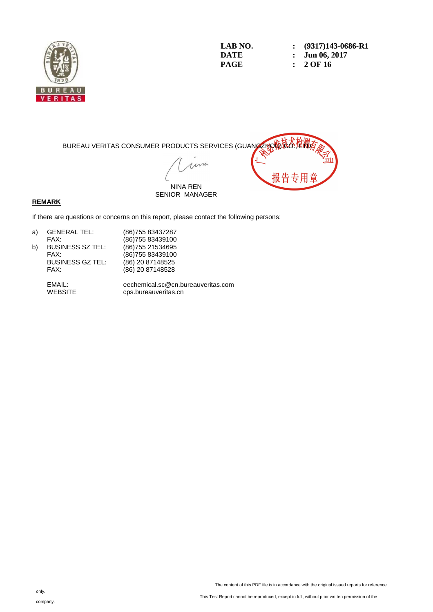

LAB NO. :  $(9317)143-0686-R1$ <br>DATE : Jun 06, 2017 **DATE :** Jun 06, 2017<br>**PAGE :** 2 OF 16 **PAGE : 2 OF 16** 



#### **REMARK**

If there are questions or concerns on this report, please contact the following persons:

| <b>GENERAL TEL:</b>     | (86) 755 83437287  |
|-------------------------|--------------------|
| FAX:                    | (86) 755 83439100  |
| <b>BUSINESS SZ TEL:</b> | (86) 755 21534 695 |
| FAX:                    | (86) 755 83439100  |
| <b>BUSINESS GZ TEL:</b> | (86) 20 87148525   |
| FAX:                    | (86) 20 87148528   |
|                         |                    |

 EMAIL: eechemical.sc@cn.bureauveritas.com cps.bureauveritas.cn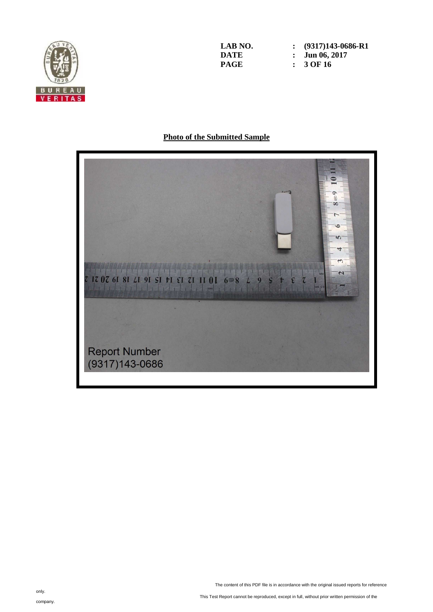

LAB NO. :  $(9317)143-0686-R1$ <br>DATE : Jun 06, 2017 **DATE : Jun 06, 2017**<br>**PAGE : 3 OF 16 PAGE : 3 OF 16** 

# **Photo of the Submitted Sample**

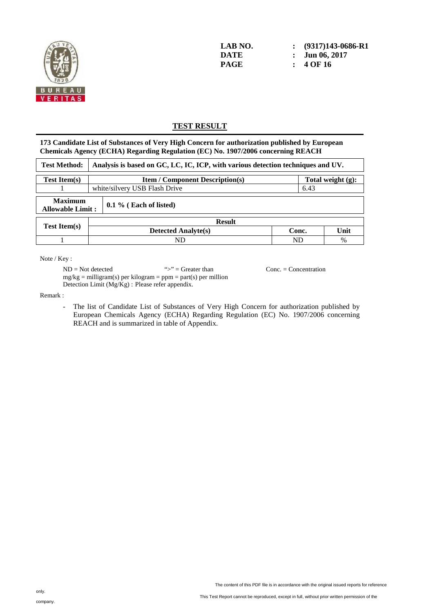

**LAB NO. : (9317)143-0686-R1 DATE : Jun 06, 2017 PAGE : 4 OF 16** 

## **TEST RESULT**

**173 Candidate List of Substances of Very High Concern for authorization published by European Chemicals Agency (ECHA) Regarding Regulation (EC) No. 1907/2006 concerning REACH** 

| <b>Test Method:</b>                                           | Analysis is based on GC, LC, IC, ICP, with various detection techniques and UV. |                            |           |                      |  |
|---------------------------------------------------------------|---------------------------------------------------------------------------------|----------------------------|-----------|----------------------|--|
| <b>Test Item(s)</b><br><b>Item / Component Description(s)</b> |                                                                                 |                            |           | Total weight $(g)$ : |  |
|                                                               | white/silvery USB Flash Drive<br>6.43                                           |                            |           |                      |  |
| <b>Maximum</b><br><b>Allowable Limit:</b>                     |                                                                                 | $0.1\%$ (Each of listed)   |           |                      |  |
|                                                               |                                                                                 | <b>Result</b>              |           |                      |  |
| <b>Test Item(s)</b>                                           |                                                                                 | <b>Detected Analyte(s)</b> | Conc.     | Unit                 |  |
|                                                               |                                                                                 | ND                         | <b>ND</b> | %                    |  |

Note / Key :

 $ND = Not detected$  ">" = Greater than Conc. = Concentration  $mg/kg =$  milligram(s) per kilogram = ppm = part(s) per million Detection Limit (Mg/Kg) : Please refer appendix.

Remark :

- The list of Candidate List of Substances of Very High Concern for authorization published by European Chemicals Agency (ECHA) Regarding Regulation (EC) No. 1907/2006 concerning REACH and is summarized in table of Appendix.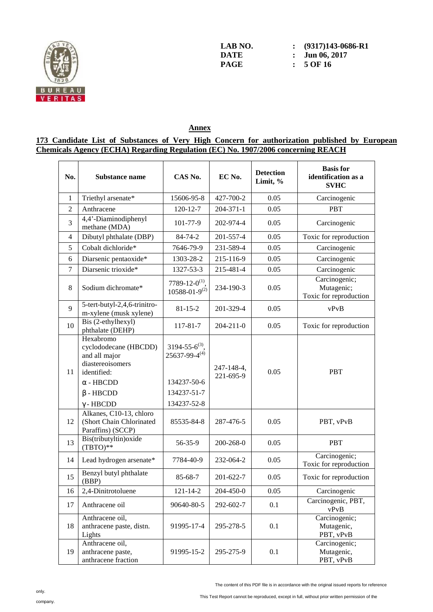

LAB NO. : (9317)143-0686-R1<br>DATE : Jun 06. 2017 **DATE : Jun 06, 2017**<br>**PAGE : 5 OF 16 PAGE : 5 OF 16** 

## **Annex**

#### **173 Candidate List of Substances of Very High Concern for authorization published by European Chemicals Agency (ECHA) Regarding Regulation (EC) No. 1907/2006 concerning REACH**

| No.            | Substance name                                                                                                                                    | CAS No.                                                                                      | EC No.                  | <b>Detection</b><br>Limit, % | <b>Basis</b> for<br>identification as a<br><b>SVHC</b> |
|----------------|---------------------------------------------------------------------------------------------------------------------------------------------------|----------------------------------------------------------------------------------------------|-------------------------|------------------------------|--------------------------------------------------------|
| $\mathbf{1}$   | Triethyl arsenate*                                                                                                                                | 15606-95-8                                                                                   | 427-700-2               | 0.05                         | Carcinogenic                                           |
| $\overline{2}$ | Anthracene                                                                                                                                        | $120 - 12 - 7$                                                                               | 204-371-1               | 0.05                         | <b>PBT</b>                                             |
| 3              | 4,4'-Diaminodiphenyl<br>methane (MDA)                                                                                                             | 101-77-9                                                                                     | 202-974-4               | 0.05                         | Carcinogenic                                           |
| 4              | Dibutyl phthalate (DBP)                                                                                                                           | 84-74-2                                                                                      | 201-557-4               | 0.05                         | Toxic for reproduction                                 |
| 5              | Cobalt dichloride*                                                                                                                                | 7646-79-9                                                                                    | 231-589-4               | 0.05                         | Carcinogenic                                           |
| 6              | Diarsenic pentaoxide*                                                                                                                             | 1303-28-2                                                                                    | 215-116-9               | 0.05                         | Carcinogenic                                           |
| $\overline{7}$ | Diarsenic trioxide*                                                                                                                               | 1327-53-3                                                                                    | 215-481-4               | 0.05                         | Carcinogenic                                           |
| 8              | Sodium dichromate*                                                                                                                                | 7789-12-0 <sup>(1)</sup> .<br>$10588 - 01 - 9^{(2)}$                                         | 234-190-3               | 0.05                         | Carcinogenic;<br>Mutagenic;<br>Toxic for reproduction  |
| 9              | 5-tert-butyl-2,4,6-trinitro-<br>m-xylene (musk xylene)                                                                                            | $81 - 15 - 2$                                                                                | 201-329-4               | 0.05                         | vPvB                                                   |
| 10             | Bis (2-ethylhexyl)<br>phthalate (DEHP)                                                                                                            | 117-81-7                                                                                     | $204 - 211 - 0$         | 0.05                         | Toxic for reproduction                                 |
| 11             | Hexabromo<br>cyclododecane (HBCDD)<br>and all major<br>diastereoisomers<br>identified:<br>$\alpha$ - HBCDD<br>$\beta$ - HBCDD<br>$\gamma$ - HBCDD | $3194 - 55 - 6^{(3)}$<br>$25637 - 99 - 4^{(4)}$<br>134237-50-6<br>134237-51-7<br>134237-52-8 | 247-148-4,<br>221-695-9 | 0.05                         | <b>PBT</b>                                             |
| 12             | Alkanes, C10-13, chloro<br>(Short Chain Chlorinated<br>Paraffins) (SCCP)                                                                          | 85535-84-8                                                                                   | 287-476-5               | 0.05                         | PBT, vPvB                                              |
| 13             | Bis(tributyltin)oxide<br>$(TBTO)**$                                                                                                               | 56-35-9                                                                                      | 200-268-0               | 0.05                         | <b>PBT</b>                                             |
| 14             | Lead hydrogen arsenate*                                                                                                                           | 7784-40-9                                                                                    | 232-064-2               | 0.05                         | Carcinogenic;<br>Toxic for reproduction                |
| 15             | Benzyl butyl phthalate<br>(BBP)                                                                                                                   | 85-68-7                                                                                      | 201-622-7               | 0.05                         | Toxic for reproduction                                 |
| 16             | 2,4-Dinitrotoluene                                                                                                                                | $121 - 14 - 2$                                                                               | 204-450-0               | 0.05                         | Carcinogenic                                           |
| 17             | Anthracene oil                                                                                                                                    | 90640-80-5                                                                                   | 292-602-7               | 0.1                          | Carcinogenic, PBT,<br>vPvB                             |
| 18             | Anthracene oil,<br>anthracene paste, distn.<br>Lights                                                                                             | 91995-17-4                                                                                   | 295-278-5               | 0.1                          | Carcinogenic;<br>Mutagenic,<br>PBT, vPvB               |
| 19             | Anthracene oil,<br>anthracene paste,<br>anthracene fraction                                                                                       | 91995-15-2                                                                                   | 295-275-9               | 0.1                          | Carcinogenic;<br>Mutagenic,<br>PBT, vPvB               |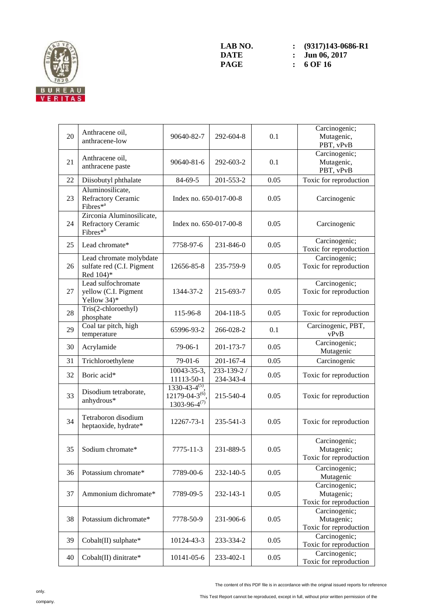

LAB NO. :  $(9317)143-0686-R1$ <br>DATE : Jun 06, 2017 **DATE :** Jun 06, 2017<br>**PAGE :** 6 OF 16 **PAGE : 6 OF 16** 

| 20 | Anthracene oil,<br>anthracene-low                                              | 90640-82-7                                                             | 292-604-8                | 0.1  | Carcinogenic;<br>Mutagenic,<br>PBT, vPvB              |
|----|--------------------------------------------------------------------------------|------------------------------------------------------------------------|--------------------------|------|-------------------------------------------------------|
| 21 | Anthracene oil,<br>anthracene paste                                            | 90640-81-6                                                             | 292-603-2                | 0.1  | Carcinogenic;<br>Mutagenic,<br>PBT, vPvB              |
| 22 | Diisobutyl phthalate                                                           | 84-69-5                                                                | 201-553-2                | 0.05 | Toxic for reproduction                                |
| 23 | Aluminosilicate,<br><b>Refractory Ceramic</b><br>Fibres <sup>*a</sup>          | Index no. 650-017-00-8                                                 |                          | 0.05 | Carcinogenic                                          |
| 24 | Zirconia Aluminosilicate,<br><b>Refractory Ceramic</b><br>Fibres <sup>*b</sup> | Index no. 650-017-00-8                                                 |                          | 0.05 | Carcinogenic                                          |
| 25 | Lead chromate*                                                                 | 7758-97-6                                                              | 231-846-0                | 0.05 | Carcinogenic;<br>Toxic for reproduction               |
| 26 | Lead chromate molybdate<br>sulfate red (C.I. Pigment<br>Red 104)*              | 12656-85-8                                                             | 235-759-9                | 0.05 | Carcinogenic;<br>Toxic for reproduction               |
| 27 | Lead sulfochromate<br>yellow (C.I. Pigment<br>Yellow 34)*                      | 1344-37-2                                                              | 215-693-7                | 0.05 | Carcinogenic;<br>Toxic for reproduction               |
| 28 | Tris(2-chloroethyl)<br>phosphate                                               | 115-96-8                                                               | 204-118-5                | 0.05 | Toxic for reproduction                                |
| 29 | Coal tar pitch, high<br>temperature                                            | 65996-93-2                                                             | 266-028-2                | 0.1  | Carcinogenic, PBT,<br>vPvB                            |
| 30 | Acrylamide                                                                     | $79-06-1$                                                              | 201-173-7                | 0.05 | Carcinogenic;<br>Mutagenic                            |
| 31 | Trichloroethylene                                                              | $79-01-6$                                                              | $201 - 167 - 4$          | 0.05 | Carcinogenic                                          |
| 32 | Boric acid*                                                                    | 10043-35-3,<br>11113-50-1                                              | 233-139-2 /<br>234-343-4 | 0.05 | Toxic for reproduction                                |
| 33 | Disodium tetraborate,<br>anhydrous*                                            | $1330-43-4^{(5)}$ ,<br>$12179 - 04 - 3^{(6)}$<br>$1303 - 96 - 4^{(7)}$ | 215-540-4                | 0.05 | Toxic for reproduction                                |
| 34 | Tetraboron disodium<br>heptaoxide, hydrate*                                    | 12267-73-1                                                             | 235-541-3                | 0.05 | Toxic for reproduction                                |
| 35 | Sodium chromate*                                                               | 7775-11-3                                                              | 231-889-5                | 0.05 | Carcinogenic;<br>Mutagenic;<br>Toxic for reproduction |
| 36 | Potassium chromate*                                                            | 7789-00-6                                                              | 232-140-5                | 0.05 | Carcinogenic;<br>Mutagenic                            |
| 37 | Ammonium dichromate*                                                           | 7789-09-5                                                              | 232-143-1                | 0.05 | Carcinogenic;<br>Mutagenic;<br>Toxic for reproduction |
| 38 | Potassium dichromate*                                                          | 7778-50-9                                                              | 231-906-6                | 0.05 | Carcinogenic;<br>Mutagenic;<br>Toxic for reproduction |
| 39 | Cobalt(II) sulphate*                                                           | 10124-43-3                                                             | 233-334-2                | 0.05 | Carcinogenic;<br>Toxic for reproduction               |
| 40 | Cobalt(II) dinitrate*                                                          | 10141-05-6                                                             | 233-402-1                | 0.05 | Carcinogenic;<br>Toxic for reproduction               |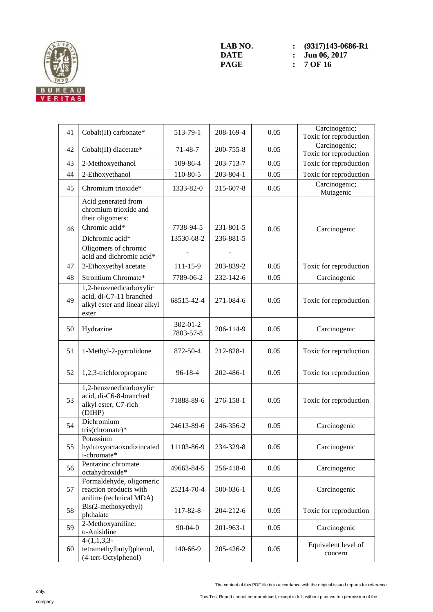

LAB NO. :  $(9317)143-0686-R1$ <br>DATE : Jun 06, 2017 **DATE :** Jun 06, 2017<br> **PAGE :** 7 OF 16 **PAGE : 7 OF 16** 

| 41 | Cobalt(II) carbonate*                                                                                                                                    | 513-79-1                    | 208-169-4              | 0.05 | Carcinogenic;<br>Toxic for reproduction |
|----|----------------------------------------------------------------------------------------------------------------------------------------------------------|-----------------------------|------------------------|------|-----------------------------------------|
| 42 | Cobalt(II) diacetate*                                                                                                                                    | $71 - 48 - 7$               | 200-755-8              | 0.05 | Carcinogenic;<br>Toxic for reproduction |
| 43 | 2-Methoxyethanol                                                                                                                                         | 109-86-4                    | 203-713-7              | 0.05 | Toxic for reproduction                  |
| 44 | 2-Ethoxyethanol                                                                                                                                          | 110-80-5                    | 203-804-1              | 0.05 | Toxic for reproduction                  |
| 45 | Chromium trioxide*                                                                                                                                       | 1333-82-0                   | 215-607-8              | 0.05 | Carcinogenic;<br>Mutagenic              |
| 46 | Acid generated from<br>chromium trioxide and<br>their oligomers:<br>Chromic acid*<br>Dichromic acid*<br>Oligomers of chromic<br>acid and dichromic acid* | 7738-94-5<br>13530-68-2     | 231-801-5<br>236-881-5 | 0.05 | Carcinogenic                            |
| 47 | 2-Ethoxyethyl acetate                                                                                                                                    | $111 - 15 - 9$              | 203-839-2              | 0.05 | Toxic for reproduction                  |
| 48 | Strontium Chromate*                                                                                                                                      | 7789-06-2                   | 232-142-6              | 0.05 | Carcinogenic                            |
| 49 | 1,2-benzenedicarboxylic<br>acid, di-C7-11 branched<br>alkyl ester and linear alkyl<br>ester                                                              | 68515-42-4                  | 271-084-6              | 0.05 | Toxic for reproduction                  |
| 50 | Hydrazine                                                                                                                                                | $302 - 01 - 2$<br>7803-57-8 | 206-114-9              | 0.05 | Carcinogenic                            |
| 51 | 1-Methyl-2-pyrrolidone                                                                                                                                   | 872-50-4                    | 212-828-1              | 0.05 | Toxic for reproduction                  |
| 52 | 1,2,3-trichloropropane                                                                                                                                   | 96-18-4                     | 202-486-1              | 0.05 | Toxic for reproduction                  |
| 53 | 1,2-benzenedicarboxylic<br>acid, di-C6-8-branched<br>alkyl ester, C7-rich<br>(DIHP)                                                                      | 71888-89-6                  | 276-158-1              | 0.05 | Toxic for reproduction                  |
| 54 | Dichromium<br>tris(chromate)*                                                                                                                            | 24613-89-6                  | 246-356-2              | 0.05 | Carcinogenic                            |
| 55 | Potassium<br>hydroxyoctaoxodizincated<br>i-chromate*                                                                                                     | 11103-86-9                  | 234-329-8              | 0.05 | Carcinogenic                            |
| 56 | Pentazinc chromate<br>octahydroxide*                                                                                                                     | 49663-84-5                  | 256-418-0              | 0.05 | Carcinogenic                            |
| 57 | Formaldehyde, oligomeric<br>reaction products with<br>aniline (technical MDA)                                                                            | 25214-70-4                  | 500-036-1              | 0.05 | Carcinogenic                            |
| 58 | Bis(2-methoxyethyl)<br>phthalate                                                                                                                         | 117-82-8                    | 204-212-6              | 0.05 | Toxic for reproduction                  |
| 59 | 2-Methoxyaniline;<br>o-Anisidine                                                                                                                         | $90 - 04 - 0$               | 201-963-1              | 0.05 | Carcinogenic                            |
| 60 | $4-(1,1,3,3-$<br>tetramethylbutyl)phenol,<br>(4-tert-Octylphenol)                                                                                        | 140-66-9                    | 205-426-2              | 0.05 | Equivalent level of<br>concern          |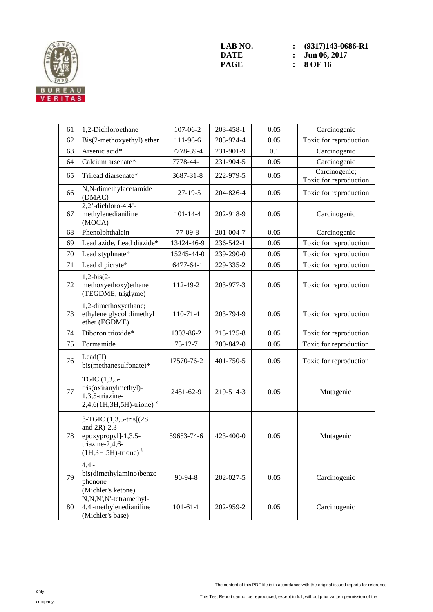

LAB NO. : (9317)143-0686-R1<br>DATE : Jun 06, 2017 **DATE :** Jun 06, 2017<br> **PAGE :** 8 OF 16 **PAGE : 8 OF 16** 

| 61 | 1,2-Dichloroethane                                                                                                       | 107-06-2       | 203-458-1 | 0.05 | Carcinogenic                            |
|----|--------------------------------------------------------------------------------------------------------------------------|----------------|-----------|------|-----------------------------------------|
| 62 | Bis(2-methoxyethyl) ether                                                                                                | 111-96-6       | 203-924-4 | 0.05 | Toxic for reproduction                  |
| 63 | Arsenic acid*                                                                                                            | 7778-39-4      | 231-901-9 | 0.1  | Carcinogenic                            |
| 64 | Calcium arsenate*                                                                                                        | 7778-44-1      | 231-904-5 | 0.05 | Carcinogenic                            |
| 65 | Trilead diarsenate*                                                                                                      | 3687-31-8      | 222-979-5 | 0.05 | Carcinogenic;<br>Toxic for reproduction |
| 66 | N,N-dimethylacetamide<br>(DMAC)                                                                                          | 127-19-5       | 204-826-4 | 0.05 | Toxic for reproduction                  |
| 67 | $2,2'$ -dichloro-4,4'-<br>methylenedianiline<br>(MOCA)                                                                   | $101 - 14 - 4$ | 202-918-9 | 0.05 | Carcinogenic                            |
| 68 | Phenolphthalein                                                                                                          | 77-09-8        | 201-004-7 | 0.05 | Carcinogenic                            |
| 69 | Lead azide, Lead diazide*                                                                                                | 13424-46-9     | 236-542-1 | 0.05 | Toxic for reproduction                  |
| 70 | Lead styphnate*                                                                                                          | 15245-44-0     | 239-290-0 | 0.05 | Toxic for reproduction                  |
| 71 | Lead dipicrate*                                                                                                          | 6477-64-1      | 229-335-2 | 0.05 | Toxic for reproduction                  |
| 72 | $1,2-bis(2-$<br>methoxyethoxy)ethane<br>(TEGDME; triglyme)                                                               | 112-49-2       | 203-977-3 | 0.05 | Toxic for reproduction                  |
| 73 | 1,2-dimethoxyethane;<br>ethylene glycol dimethyl<br>ether (EGDME)                                                        | $110-71-4$     | 203-794-9 | 0.05 | Toxic for reproduction                  |
| 74 | Diboron trioxide*                                                                                                        | 1303-86-2      | 215-125-8 | 0.05 | Toxic for reproduction                  |
| 75 | Formamide                                                                                                                | $75 - 12 - 7$  | 200-842-0 | 0.05 | Toxic for reproduction                  |
| 76 | Lead(II)<br>bis(methanesulfonate)*                                                                                       | 17570-76-2     | 401-750-5 | 0.05 | Toxic for reproduction                  |
| 77 | TGIC (1,3,5-<br>tris(oxiranylmethyl)-<br>1,3,5-triazine-<br>$2,4,6(1H,3H,5H)$ -trione) $\frac{8}{3}$                     | 2451-62-9      | 219-514-3 | 0.05 | Mutagenic                               |
| 78 | $\beta$ -TGIC (1,3,5-tris[(2S)<br>and $2R$ )-2,3-<br>epoxypropyl]-1,3,5-<br>triazine-2,4,6-<br>$(1H,3H,5H)$ -trione) $§$ | 59653-74-6     | 423-400-0 | 0.05 | Mutagenic                               |
| 79 | $4,4'$ -<br>bis(dimethylamino)benzo<br>phenone<br>(Michler's ketone)                                                     | 90-94-8        | 202-027-5 | 0.05 | Carcinogenic                            |
| 80 | N,N,N',N'-tetramethyl-<br>4,4'-methylenedianiline<br>(Michler's base)                                                    | $101 - 61 - 1$ | 202-959-2 | 0.05 | Carcinogenic                            |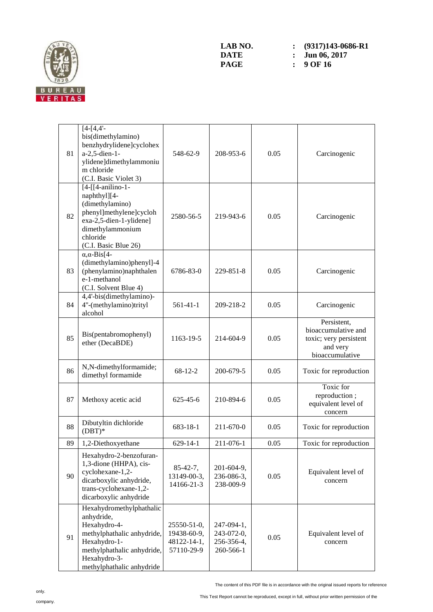

| 81 | $[4-[4,4]$ -<br>bis(dimethylamino)<br>benzhydrylidene]cyclohex<br>a-2,5-dien-1-<br>ylidene]dimethylammoniu<br>m chloride<br>(C.I. Basic Violet 3)                               | 548-62-9                                                | 208-953-6                                           | 0.05 | Carcinogenic                                                                                |
|----|---------------------------------------------------------------------------------------------------------------------------------------------------------------------------------|---------------------------------------------------------|-----------------------------------------------------|------|---------------------------------------------------------------------------------------------|
| 82 | $[4-[[4-anilino-1-$<br>naphthyl][4-<br>(dimethylamino)<br>phenyl]methylene]cycloh<br>exa-2,5-dien-1-ylidene]<br>dimethylammonium<br>chloride<br>(C.I. Basic Blue 26)            | 2580-56-5                                               | 219-943-6                                           | 0.05 | Carcinogenic                                                                                |
| 83 | $\alpha$ , $\alpha$ -Bis[4-<br>(dimethylamino)phenyl]-4<br>(phenylamino)naphthalen<br>e-1-methanol<br>(C.I. Solvent Blue 4)                                                     | 6786-83-0                                               | 229-851-8                                           | 0.05 | Carcinogenic                                                                                |
| 84 | 4,4'-bis(dimethylamino)-<br>4"-(methylamino)trityl<br>alcohol                                                                                                                   | $561-41-1$                                              | 209-218-2                                           | 0.05 | Carcinogenic                                                                                |
| 85 | Bis(pentabromophenyl)<br>ether (DecaBDE)                                                                                                                                        | 1163-19-5                                               | 214-604-9                                           | 0.05 | Persistent,<br>bioaccumulative and<br>toxic; very persistent<br>and very<br>bioaccumulative |
| 86 | N,N-dimethylformamide;<br>dimethyl formamide                                                                                                                                    | $68-12-2$                                               | 200-679-5                                           | 0.05 | Toxic for reproduction                                                                      |
| 87 | Methoxy acetic acid                                                                                                                                                             | $625 - 45 - 6$                                          | 210-894-6                                           | 0.05 | Toxic for<br>reproduction;<br>equivalent level of<br>concern                                |
| 88 | Dibutyltin dichloride<br>$(DBT)*$                                                                                                                                               | 683-18-1                                                | 211-670-0                                           | 0.05 | Toxic for reproduction                                                                      |
| 89 | 1,2-Diethoxyethane                                                                                                                                                              | $629 - 14 - 1$                                          | 211-076-1                                           | 0.05 | Toxic for reproduction                                                                      |
| 90 | Hexahydro-2-benzofuran-<br>1,3-dione (HHPA), cis-<br>cyclohexane-1,2-<br>dicarboxylic anhydride,<br>trans-cyclohexane-1,2-<br>dicarboxylic anhydride                            | $85-42-7,$<br>13149-00-3,<br>14166-21-3                 | $201 - 604 - 9$ ,<br>236-086-3,<br>238-009-9        | 0.05 | Equivalent level of<br>concern                                                              |
| 91 | Hexahydromethylphathalic<br>anhydride,<br>Hexahydro-4-<br>methylphathalic anhydride,<br>Hexahydro-1-<br>methylphathalic anhydride,<br>Hexahydro-3-<br>methylphathalic anhydride | 25550-51-0,<br>19438-60-9,<br>48122-14-1,<br>57110-29-9 | 247-094-1,<br>243-072-0,<br>256-356-4,<br>260-566-1 | 0.05 | Equivalent level of<br>concern                                                              |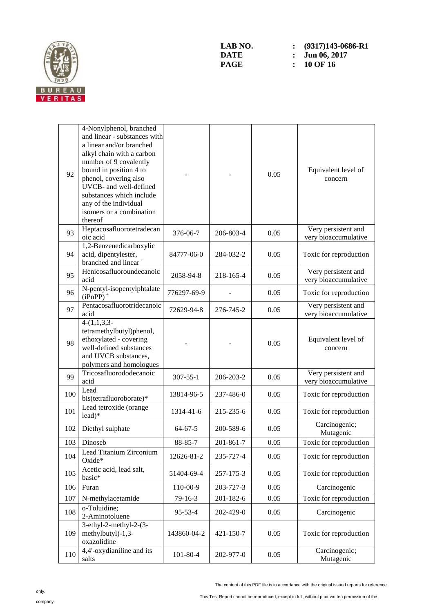

| 92  | 4-Nonylphenol, branched<br>and linear - substances with<br>a linear and/or branched<br>alkyl chain with a carbon<br>number of 9 covalently<br>bound in position 4 to<br>phenol, covering also<br>UVCB- and well-defined<br>substances which include<br>any of the individual<br>isomers or a combination<br>thereof |                |           | 0.05 | Equivalent level of<br>concern              |
|-----|---------------------------------------------------------------------------------------------------------------------------------------------------------------------------------------------------------------------------------------------------------------------------------------------------------------------|----------------|-----------|------|---------------------------------------------|
| 93  | Heptacosafluorotetradecan<br>oic acid                                                                                                                                                                                                                                                                               | 376-06-7       | 206-803-4 | 0.05 | Very persistent and<br>very bioaccumulative |
| 94  | 1,2-Benzenedicarboxylic<br>acid, dipentylester,<br>branched and linear <sup>+</sup>                                                                                                                                                                                                                                 | 84777-06-0     | 284-032-2 | 0.05 | Toxic for reproduction                      |
| 95  | Henicosafluoroundecanoic<br>acid                                                                                                                                                                                                                                                                                    | 2058-94-8      | 218-165-4 | 0.05 | Very persistent and<br>very bioaccumulative |
| 96  | N-pentyl-isopentylphtalate<br>$(iPnPP)$ <sup>+</sup>                                                                                                                                                                                                                                                                | 776297-69-9    |           | 0.05 | Toxic for reproduction                      |
| 97  | Pentacosafluorotridecanoic<br>acid                                                                                                                                                                                                                                                                                  | 72629-94-8     | 276-745-2 | 0.05 | Very persistent and<br>very bioaccumulative |
| 98  | $4-(1,\overline{1,3,3})$<br>tetramethylbutyl)phenol,<br>ethoxylated - covering<br>well-defined substances<br>and UVCB substances,<br>polymers and homologues                                                                                                                                                        |                |           | 0.05 | Equivalent level of<br>concern              |
| 99  | Tricosafluorododecanoic<br>acid                                                                                                                                                                                                                                                                                     | $307 - 55 - 1$ | 206-203-2 | 0.05 | Very persistent and<br>very bioaccumulative |
| 100 | Lead<br>bis(tetrafluoroborate)*                                                                                                                                                                                                                                                                                     | 13814-96-5     | 237-486-0 | 0.05 | Toxic for reproduction                      |
| 101 | Lead tetroxide (orange<br>$lead)*$                                                                                                                                                                                                                                                                                  | 1314-41-6      | 215-235-6 | 0.05 | Toxic for reproduction                      |
| 102 | Diethyl sulphate                                                                                                                                                                                                                                                                                                    | $64 - 67 - 5$  | 200-589-6 | 0.05 | Carcinogenic;<br>Mutagenic                  |
| 103 | Dinoseb                                                                                                                                                                                                                                                                                                             | 88-85-7        | 201-861-7 | 0.05 | Toxic for reproduction                      |
| 104 | Lead Titanium Zirconium<br>Oxide*                                                                                                                                                                                                                                                                                   | 12626-81-2     | 235-727-4 | 0.05 | Toxic for reproduction                      |
| 105 | Acetic acid, lead salt,<br>basic*                                                                                                                                                                                                                                                                                   | 51404-69-4     | 257-175-3 | 0.05 | Toxic for reproduction                      |
| 106 | Furan                                                                                                                                                                                                                                                                                                               | 110-00-9       | 203-727-3 | 0.05 | Carcinogenic                                |
| 107 | N-methylacetamide                                                                                                                                                                                                                                                                                                   | $79 - 16 - 3$  | 201-182-6 | 0.05 | Toxic for reproduction                      |
| 108 | o-Toluidine;<br>2-Aminotoluene                                                                                                                                                                                                                                                                                      | 95-53-4        | 202-429-0 | 0.05 | Carcinogenic                                |
| 109 | $3$ -ethyl-2-methyl-2- $(3-$<br>methylbutyl)-1,3-<br>oxazolidine                                                                                                                                                                                                                                                    | 143860-04-2    | 421-150-7 | 0.05 | Toxic for reproduction                      |
| 110 | 4,4'-oxydianiline and its<br>salts                                                                                                                                                                                                                                                                                  | $101 - 80 - 4$ | 202-977-0 | 0.05 | Carcinogenic;<br>Mutagenic                  |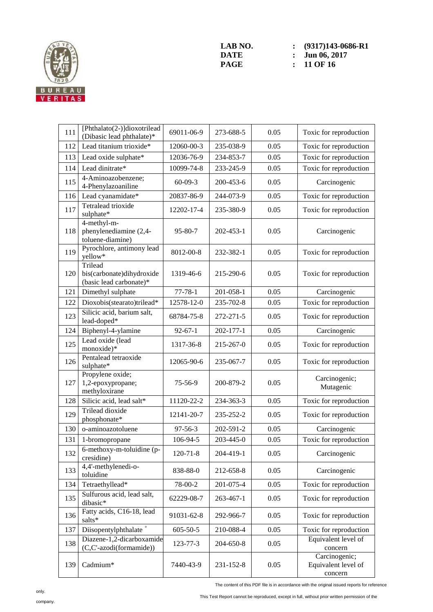

LAB NO. :  $(9317)143-0686-R1$ <br>DATE : Jun 06, 2017 **DATE : Jun 06, 2017**<br>**PAGE : 11 OF 16 PAGE : 11 OF 16** 

| 111 | [Phthalato(2-)]dioxotrilead<br>(Dibasic lead phthalate)*        | 69011-06-9     | 273-688-5 | 0.05 | Toxic for reproduction                          |
|-----|-----------------------------------------------------------------|----------------|-----------|------|-------------------------------------------------|
| 112 | Lead titanium trioxide*                                         | 12060-00-3     | 235-038-9 | 0.05 | Toxic for reproduction                          |
| 113 | Lead oxide sulphate*                                            | 12036-76-9     | 234-853-7 | 0.05 | Toxic for reproduction                          |
| 114 | Lead dinitrate*                                                 | 10099-74-8     | 233-245-9 | 0.05 | Toxic for reproduction                          |
| 115 | 4-Aminoazobenzene;<br>4-Phenylazoaniline                        | $60-09-3$      | 200-453-6 | 0.05 | Carcinogenic                                    |
| 116 | Lead cyanamidate*                                               | 20837-86-9     | 244-073-9 | 0.05 | Toxic for reproduction                          |
| 117 | Tetralead trioxide<br>sulphate*                                 | 12202-17-4     | 235-380-9 | 0.05 | Toxic for reproduction                          |
| 118 | 4-methyl-m-<br>phenylenediamine (2,4-<br>toluene-diamine)       | 95-80-7        | 202-453-1 | 0.05 | Carcinogenic                                    |
| 119 | Pyrochlore, antimony lead<br>yellow*                            | 8012-00-8      | 232-382-1 | 0.05 | Toxic for reproduction                          |
| 120 | Trilead<br>bis(carbonate)dihydroxide<br>(basic lead carbonate)* | 1319-46-6      | 215-290-6 | 0.05 | Toxic for reproduction                          |
| 121 | Dimethyl sulphate                                               | $77 - 78 - 1$  | 201-058-1 | 0.05 | Carcinogenic                                    |
| 122 | Dioxobis(stearato)trilead*                                      | 12578-12-0     | 235-702-8 | 0.05 | Toxic for reproduction                          |
| 123 | Silicic acid, barium salt,<br>lead-doped*                       | 68784-75-8     | 272-271-5 | 0.05 | Toxic for reproduction                          |
| 124 | Biphenyl-4-ylamine                                              | $92 - 67 - 1$  | 202-177-1 | 0.05 | Carcinogenic                                    |
| 125 | Lead oxide (lead<br>monoxide)*                                  | 1317-36-8      | 215-267-0 | 0.05 | Toxic for reproduction                          |
| 126 | Pentalead tetraoxide<br>sulphate*                               | 12065-90-6     | 235-067-7 | 0.05 | Toxic for reproduction                          |
| 127 | Propylene oxide;<br>1,2-epoxypropane;<br>methyloxirane          | 75-56-9        | 200-879-2 | 0.05 | Carcinogenic;<br>Mutagenic                      |
| 128 | Silicic acid, lead salt*                                        | 11120-22-2     | 234-363-3 | 0.05 | Toxic for reproduction                          |
| 129 | Trilead dioxide<br>phosphonate*                                 | 12141-20-7     | 235-252-2 | 0.05 | Toxic for reproduction                          |
| 130 | o-aminoazotoluene                                               | 97-56-3        | 202-591-2 | 0.05 | Carcinogenic                                    |
| 131 | 1-bromopropane                                                  | 106-94-5       | 203-445-0 | 0.05 | Toxic for reproduction                          |
| 132 | 6-methoxy-m-toluidine (p-<br>cresidine)                         | $120 - 71 - 8$ | 204-419-1 | 0.05 | Carcinogenic                                    |
| 133 | 4,4'-methylenedi-o-<br>toluidine                                | 838-88-0       | 212-658-8 | 0.05 | Carcinogenic                                    |
| 134 | Tetraethyllead*                                                 | 78-00-2        | 201-075-4 | 0.05 | Toxic for reproduction                          |
| 135 | Sulfurous acid, lead salt,<br>dibasic*                          | 62229-08-7     | 263-467-1 | 0.05 | Toxic for reproduction                          |
| 136 | Fatty acids, C16-18, lead<br>salts*                             | 91031-62-8     | 292-966-7 | 0.05 | Toxic for reproduction                          |
| 137 | Diisopentylphthalate <sup>+</sup>                               | $605 - 50 - 5$ | 210-088-4 | 0.05 | Toxic for reproduction                          |
| 138 | Diazene-1,2-dicarboxamide<br>(C,C'-azodi(formamide))            | 123-77-3       | 204-650-8 | 0.05 | Equivalent level of<br>concern                  |
| 139 | Cadmium*                                                        | 7440-43-9      | 231-152-8 | 0.05 | Carcinogenic;<br>Equivalent level of<br>concern |

The content of this PDF file is in accordance with the original issued reports for reference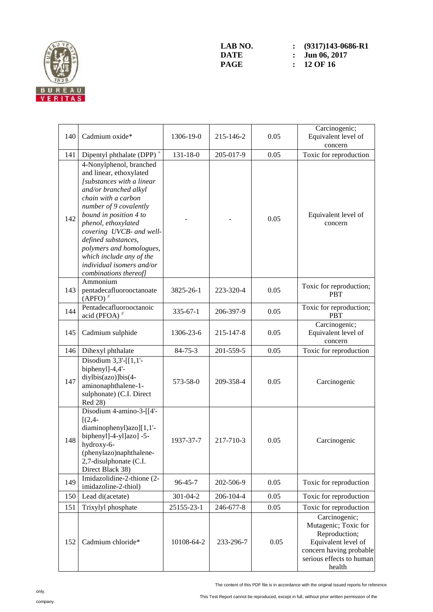

LAB NO. :  $(9317)143-0686-R1$ <br>DATE : Jun 06, 2017 **DATE : Jun 06, 2017**<br>**PAGE : 12 OF 16 PAGE : 12 OF 16** 

| 140 | Cadmium oxide*                                                                                                                                                                                                                                                                                                                                                              | 1306-19-0      | 215-146-2 | 0.05 | Carcinogenic;<br>Equivalent level of<br>concern                                                                                                |
|-----|-----------------------------------------------------------------------------------------------------------------------------------------------------------------------------------------------------------------------------------------------------------------------------------------------------------------------------------------------------------------------------|----------------|-----------|------|------------------------------------------------------------------------------------------------------------------------------------------------|
| 141 | Dipentyl phthalate (DPP) <sup>+</sup>                                                                                                                                                                                                                                                                                                                                       | $131 - 18 - 0$ | 205-017-9 | 0.05 | Toxic for reproduction                                                                                                                         |
| 142 | 4-Nonylphenol, branched<br>and linear, ethoxylated<br>[substances with a linear<br>and/or branched alkyl<br>chain with a carbon<br>number of 9 covalently<br>bound in position 4 to<br>phenol, ethoxylated<br>covering UVCB- and well-<br>defined substances,<br>polymers and homologues,<br>which include any of the<br>individual isomers and/or<br>combinations thereof] |                |           | 0.05 | Equivalent level of<br>concern                                                                                                                 |
| 143 | Ammonium<br>pentadecafluorooctanoate<br>$(APFO)^{\neq}$                                                                                                                                                                                                                                                                                                                     | 3825-26-1      | 223-320-4 | 0.05 | Toxic for reproduction;<br><b>PBT</b>                                                                                                          |
| 144 | Pentadecafluorooctanoic<br>acid (PFOA) $*$                                                                                                                                                                                                                                                                                                                                  | $335 - 67 - 1$ | 206-397-9 | 0.05 | Toxic for reproduction;<br><b>PBT</b>                                                                                                          |
| 145 | Cadmium sulphide                                                                                                                                                                                                                                                                                                                                                            | 1306-23-6      | 215-147-8 | 0.05 | Carcinogenic;<br>Equivalent level of<br>concern                                                                                                |
| 146 | Dihexyl phthalate                                                                                                                                                                                                                                                                                                                                                           | $84 - 75 - 3$  | 201-559-5 | 0.05 | Toxic for reproduction                                                                                                                         |
| 147 | Disodium $3,3'$ -[[1,1'-<br>biphenyl]-4,4'-<br>diylbis(azo)]bis(4-<br>aminonaphthalene-1-<br>sulphonate) (C.I. Direct<br>Red 28)                                                                                                                                                                                                                                            | 573-58-0       | 209-358-4 | 0.05 | Carcinogenic                                                                                                                                   |
| 148 | Disodium 4-amino-3-[[4'-<br>$[(2,4 -$<br>diaminophenyl)azo][1,1'-<br>biphenyl]-4-yl]azo] -5-<br>hydroxy-6-<br>(phenylazo)naphthalene-<br>2,7-disulphonate (C.I.<br>Direct Black 38)                                                                                                                                                                                         | 1937-37-7      | 217-710-3 | 0.05 | Carcinogenic                                                                                                                                   |
| 149 | Imidazolidine-2-thione (2-<br>imidazoline-2-thiol)                                                                                                                                                                                                                                                                                                                          | $96 - 45 - 7$  | 202-506-9 | 0.05 | Toxic for reproduction                                                                                                                         |
| 150 | Lead di(acetate)                                                                                                                                                                                                                                                                                                                                                            | 301-04-2       | 206-104-4 | 0.05 | Toxic for reproduction                                                                                                                         |
| 151 | Trixylyl phosphate                                                                                                                                                                                                                                                                                                                                                          | 25155-23-1     | 246-677-8 | 0.05 | Toxic for reproduction                                                                                                                         |
| 152 | Cadmium chloride*                                                                                                                                                                                                                                                                                                                                                           | 10108-64-2     | 233-296-7 | 0.05 | Carcinogenic;<br>Mutagenic; Toxic for<br>Reproduction;<br>Equivalent level of<br>concern having probable<br>serious effects to human<br>health |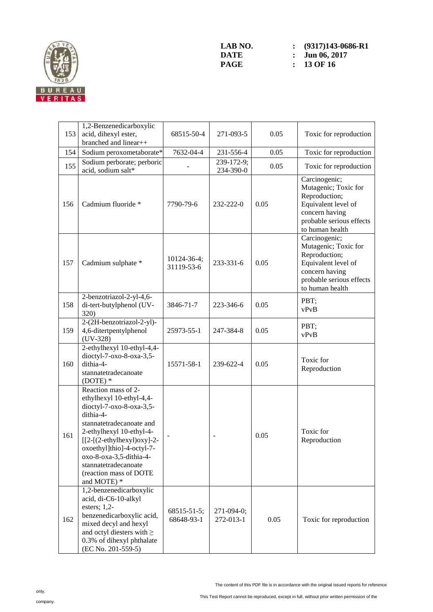

LAB NO. :  $(9317)143-0686-R1$ <br>DATE : Jun 06, 2017 **DATE :** Jun 06, 2017<br>**PAGE :** 13 OF 16 **PAGE : 13 OF 16** 

| 153 | 1,2-Benzenedicarboxylic<br>acid, dihexyl ester,<br>branched and linear++                                                                                                                                                                                                                                    | 68515-50-4                | 271-093-5               | 0.05 | Toxic for reproduction                                                                                                                         |
|-----|-------------------------------------------------------------------------------------------------------------------------------------------------------------------------------------------------------------------------------------------------------------------------------------------------------------|---------------------------|-------------------------|------|------------------------------------------------------------------------------------------------------------------------------------------------|
| 154 | Sodium peroxometaborate*                                                                                                                                                                                                                                                                                    | 7632-04-4                 | 231-556-4               | 0.05 | Toxic for reproduction                                                                                                                         |
| 155 | Sodium perborate; perboric<br>acid, sodium salt*                                                                                                                                                                                                                                                            |                           | 239-172-9;<br>234-390-0 | 0.05 | Toxic for reproduction                                                                                                                         |
| 156 | Cadmium fluoride *                                                                                                                                                                                                                                                                                          | 7790-79-6                 | 232-222-0               | 0.05 | Carcinogenic;<br>Mutagenic; Toxic for<br>Reproduction;<br>Equivalent level of<br>concern having<br>probable serious effects<br>to human health |
| 157 | Cadmium sulphate *                                                                                                                                                                                                                                                                                          | 10124-36-4;<br>31119-53-6 | 233-331-6               | 0.05 | Carcinogenic;<br>Mutagenic; Toxic for<br>Reproduction;<br>Equivalent level of<br>concern having<br>probable serious effects<br>to human health |
| 158 | 2-benzotriazol-2-yl-4,6-<br>di-tert-butylphenol (UV-<br>320)                                                                                                                                                                                                                                                | 3846-71-7                 | 223-346-6               | 0.05 | PBT;<br>vPvB                                                                                                                                   |
| 159 | 2-(2H-benzotriazol-2-yl)-<br>4,6-ditertpentylphenol<br>$(UV-328)$                                                                                                                                                                                                                                           | 25973-55-1                | 247-384-8               | 0.05 | PBT:<br>vPvB                                                                                                                                   |
| 160 | 2-ethylhexyl 10-ethyl-4,4-<br>dioctyl-7-oxo-8-oxa-3,5-<br>dithia-4-<br>stannatetradecanoate<br>$(DOTE)*$                                                                                                                                                                                                    | 15571-58-1                | 239-622-4               | 0.05 | Toxic for<br>Reproduction                                                                                                                      |
| 161 | Reaction mass of 2-<br>ethylhexyl 10-ethyl-4,4-<br>dioctyl-7- $oxo-8-oxa-3,5-$<br>dithia-4-<br>stannatetradecanoate and<br>2-ethylhexyl 10-ethyl-4-<br>$[[2-(2-ethylhexyl)oxy]-2-$<br>oxoethyl]thio]-4-octyl-7-<br>oxo-8-oxa-3,5-dithia-4-<br>stannatetradecanoate<br>(reaction mass of DOTE<br>and MOTE) * |                           |                         | 0.05 | Toxic for<br>Reproduction                                                                                                                      |
| 162 | 1,2-benzenedicarboxylic<br>acid, di-C6-10-alkyl<br>esters; $1,2$ -<br>benzenedicarboxylic acid,<br>mixed decyl and hexyl<br>and octyl diesters with $\geq$<br>0.3% of dihexyl phthalate<br>(EC No. 201-559-5)                                                                                               | 68515-51-5;<br>68648-93-1 | 271-094-0;<br>272-013-1 | 0.05 | Toxic for reproduction                                                                                                                         |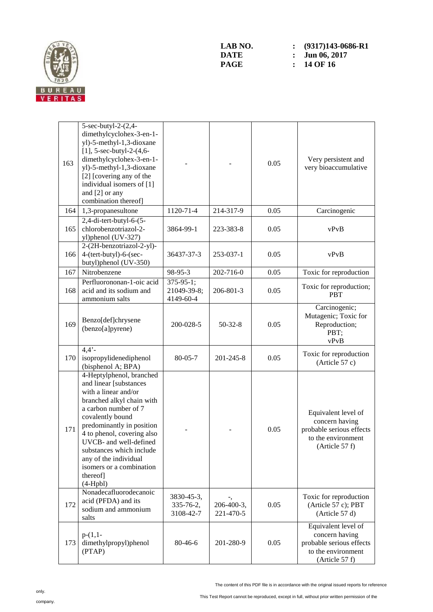

| 163 | 5-sec-butyl-2-(2,4-<br>dimethylcyclohex-3-en-1-<br>yl)-5-methyl-1,3-dioxane<br>$[1]$ , 5-sec-butyl-2- $(4, 6-$<br>dimethylcyclohex-3-en-1-<br>yl)-5-methyl-1,3-dioxane<br>[2] [covering any of the<br>individual isomers of [1]<br>and [2] or any<br>combination thereof]                                                                           |                                              |                         | 0.05 | Very persistent and<br>very bioaccumulative                                                               |
|-----|-----------------------------------------------------------------------------------------------------------------------------------------------------------------------------------------------------------------------------------------------------------------------------------------------------------------------------------------------------|----------------------------------------------|-------------------------|------|-----------------------------------------------------------------------------------------------------------|
| 164 | 1,3-propanesultone                                                                                                                                                                                                                                                                                                                                  | 1120-71-4                                    | 214-317-9               | 0.05 | Carcinogenic                                                                                              |
| 165 | $2,4$ -di-tert-butyl-6- $(5-$<br>chlorobenzotriazol-2-<br>yl)phenol (UV-327)                                                                                                                                                                                                                                                                        | 3864-99-1                                    | 223-383-8               | 0.05 | vPvB                                                                                                      |
| 166 | 2-(2H-benzotriazol-2-yl)-<br>4-(tert-butyl)-6-(sec-<br>butyl)phenol (UV-350)                                                                                                                                                                                                                                                                        | 36437-37-3                                   | 253-037-1               | 0.05 | vPvB                                                                                                      |
| 167 | Nitrobenzene                                                                                                                                                                                                                                                                                                                                        | 98-95-3                                      | 202-716-0               | 0.05 | Toxic for reproduction                                                                                    |
| 168 | Perfluorononan-1-oic acid<br>acid and its sodium and<br>ammonium salts                                                                                                                                                                                                                                                                              | $375 - 95 - 1$ ;<br>21049-39-8;<br>4149-60-4 | 206-801-3               | 0.05 | Toxic for reproduction;<br><b>PBT</b>                                                                     |
| 169 | Benzo[def]chrysene<br>(benzo[a]pyrene)                                                                                                                                                                                                                                                                                                              | 200-028-5                                    | $50 - 32 - 8$           | 0.05 | Carcinogenic;<br>Mutagenic; Toxic for<br>Reproduction;<br>PBT;<br>vPvB                                    |
| 170 | $4,4'$ -<br>isopropylidenediphenol<br>(bisphenol A; BPA)                                                                                                                                                                                                                                                                                            | $80 - 05 - 7$                                | 201-245-8               | 0.05 | Toxic for reproduction<br>(Article 57 c)                                                                  |
| 171 | 4-Heptylphenol, branched<br>and linear [substances<br>with a linear and/or<br>branched alkyl chain with<br>a carbon number of 7<br>covalently bound<br>predominantly in position<br>4 to phenol, covering also<br>UVCB- and well-defined<br>substances which include<br>any of the individual<br>isomers or a combination<br>thereof]<br>$(4-Hpbl)$ |                                              |                         | 0.05 | Equivalent level of<br>concern having<br>probable serious effects<br>to the environment<br>(Article 57 f) |
| 172 | Nonadecafluorodecanoic<br>acid (PFDA) and its<br>sodium and ammonium<br>salts                                                                                                                                                                                                                                                                       | 3830-45-3,<br>335-76-2,<br>3108-42-7         | 206-400-3,<br>221-470-5 | 0.05 | Toxic for reproduction<br>(Article 57 c); PBT<br>(Article 57 d)                                           |
| 173 | $p-(1,1-$<br>dimethylpropyl)phenol<br>(PTAP)                                                                                                                                                                                                                                                                                                        | 80-46-6                                      | 201-280-9               | 0.05 | Equivalent level of<br>concern having<br>probable serious effects<br>to the environment<br>(Article 57 f) |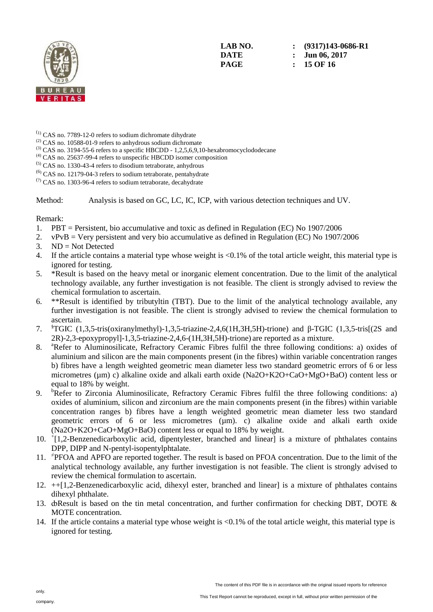

**LAB NO. : (9317)143-0686-R1 DATE : Jun 06, 2017 PAGE : 15 OF 16** 

- (1) CAS no. 7789-12-0 refers to sodium dichromate dihydrate
- (2) CAS no. 10588-01-9 refers to anhydrous sodium dichromate
- $^{(3)}$  CAS no. 3194-55-6 refers to a specific HBCDD 1,2,5,6,9,10-hexabromocyclododecane
- $^{(4)}$  CAS no. 25637-99-4 refers to unspecific HBCDD isomer composition
- $(5)$  CAS no. 1330-43-4 refers to disodium tetraborate, anhydrous
- (6) CAS no. 12179-04-3 refers to sodium tetraborate, pentahydrate
- $(7)$  CAS no. 1303-96-4 refers to sodium tetraborate, decahydrate

Method: Analysis is based on GC, LC, IC, ICP, with various detection techniques and UV.

Remark:

- 1. PBT = Persistent, bio accumulative and toxic as defined in Regulation (EC) No 1907/2006
- 2. vPvB = Very persistent and very bio accumulative as defined in Regulation (EC) No 1907/2006
- 3. ND = Not Detected
- 4. If the article contains a material type whose weight is <0.1% of the total article weight, this material type is ignored for testing.
- 5. \*Result is based on the heavy metal or inorganic element concentration. Due to the limit of the analytical technology available, any further investigation is not feasible. The client is strongly advised to review the chemical formulation to ascertain.
- 6. \*\*Result is identified by tributyltin (TBT). Due to the limit of the analytical technology available, any further investigation is not feasible. The client is strongly advised to review the chemical formulation to ascertain.
- 7. §TGIC (1,3,5-tris(oxiranylmethyl)-1,3,5-triazine-2,4,6(1H,3H,5H)-trione) and β-TGIC (1,3,5-tris[(2S and 2R)-2,3-epoxypropyl]-1,3,5-triazine-2,4,6-(1H,3H,5H)-trione) are reported as a mixture.
- 8. <sup>a</sup>Refer to Aluminosilicate, Refractory Ceramic Fibres fulfil the three following conditions: a) oxides of aluminium and silicon are the main components present (in the fibres) within variable concentration ranges b) fibres have a length weighted geometric mean diameter less two standard geometric errors of 6 or less micrometres (µm) c) alkaline oxide and alkali earth oxide (Na2O+K2O+CaO+MgO+BaO) content less or equal to 18% by weight.
- 9. <sup>b</sup>Refer to Zirconia Aluminosilicate, Refractory Ceramic Fibres fulfil the three following conditions: a) oxides of aluminium, silicon and zirconium are the main components present (in the fibres) within variable concentration ranges b) fibres have a length weighted geometric mean diameter less two standard geometric errors of 6 or less micrometres (µm). c) alkaline oxide and alkali earth oxide (Na2O+K2O+CaO+MgO+BaO) content less or equal to 18% by weight.
- 10. <sup>+</sup> [1,2-Benzenedicarboxylic acid, dipentylester, branched and linear] is a mixture of phthalates contains DPP, DIPP and N-pentyl-isopentylphtalate.
- 11. <sup>≠</sup> PFOA and APFO are reported together. The result is based on PFOA concentration. Due to the limit of the analytical technology available, any further investigation is not feasible. The client is strongly advised to review the chemical formulation to ascertain.
- 12. ++[1,2-Benzenedicarboxylic acid, dihexyl ester, branched and linear] is a mixture of phthalates contains dihexyl phthalate.
- 13. doResult is based on the tin metal concentration, and further confirmation for checking DBT, DOTE & MOTE concentration.
- 14. If the article contains a material type whose weight is <0.1% of the total article weight, this material type is ignored for testing.

only. company.